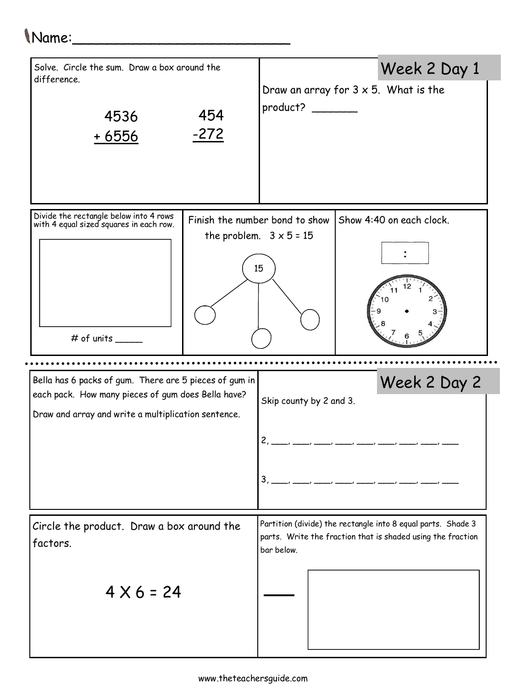## Name:\_\_\_\_\_\_\_\_\_\_\_\_\_\_\_\_\_\_\_\_\_\_\_\_\_

| Solve. Circle the sum. Draw a box around the<br>difference.<br>4536<br><u>+6556</u>                       | 454<br>$-272$ | product?                                                               | Week 2 Day 1<br>Draw an array for $3 \times 5$ . What is the                                                                |
|-----------------------------------------------------------------------------------------------------------|---------------|------------------------------------------------------------------------|-----------------------------------------------------------------------------------------------------------------------------|
| Divide the rectangle below into 4 rows<br>with 4 equal sized squares in each row.<br>$\#$ of units $\_\_$ |               | Finish the number bond to show<br>the problem. $3 \times 5 = 15$<br>15 | Show 4:40 on each clock.                                                                                                    |
| Bella has 6 packs of gum. There are 5 pieces of gum in                                                    |               |                                                                        | Week 2 Day 2                                                                                                                |
| each pack. How many pieces of gum does Bella have?                                                        |               | Skip county by 2 and 3.                                                |                                                                                                                             |
| Draw and array and write a multiplication sentence.                                                       |               | $\mathfrak{p}$                                                         | $3, \_\_$                                                                                                                   |
| Circle the product. Draw a box around the<br>factors.                                                     |               |                                                                        | Partition (divide) the rectangle into 8 equal parts. Shade 3<br>parts. Write the fraction that is shaded using the fraction |
| $4 \times 6 = 24$                                                                                         |               | bar below.                                                             |                                                                                                                             |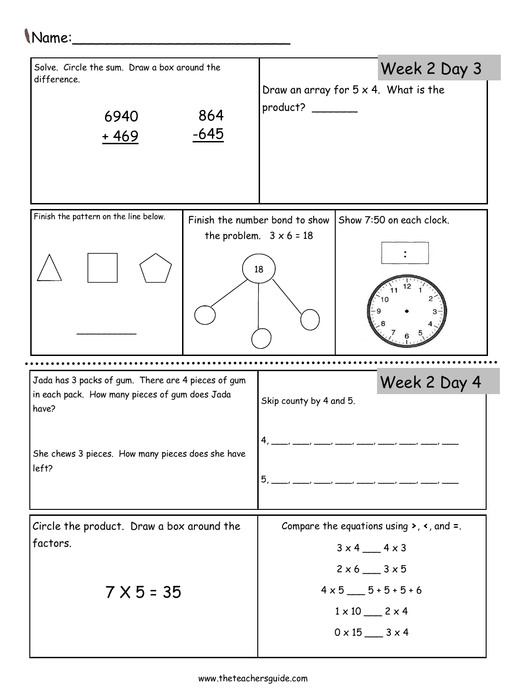## Name:\_\_\_\_\_\_\_\_\_\_\_\_\_\_\_\_\_\_\_\_\_\_\_\_\_